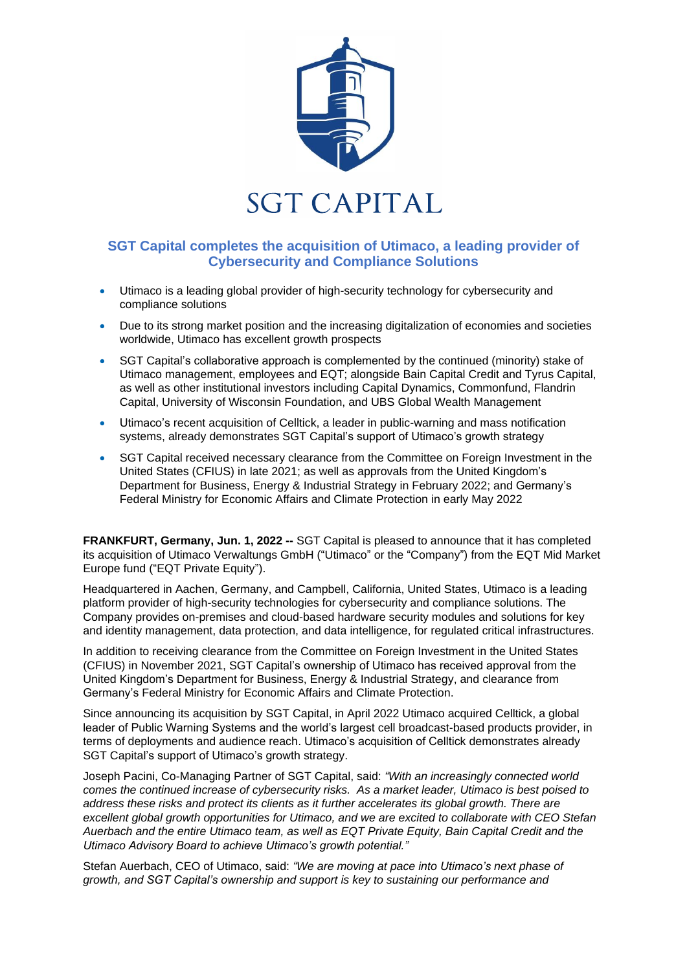

## **SGT Capital completes the acquisition of Utimaco, a leading provider of Cybersecurity and Compliance Solutions**

- Utimaco is a leading global provider of high-security technology for cybersecurity and compliance solutions
- Due to its strong market position and the increasing digitalization of economies and societies worldwide, Utimaco has excellent growth prospects
- SGT Capital's collaborative approach is complemented by the continued (minority) stake of Utimaco management, employees and EQT; alongside Bain Capital Credit and Tyrus Capital, as well as other institutional investors including Capital Dynamics, Commonfund, Flandrin Capital, University of Wisconsin Foundation, and UBS Global Wealth Management
- Utimaco's recent acquisition of Celltick, a leader in public-warning and mass notification systems, already demonstrates SGT Capital's support of Utimaco's growth strategy
- SGT Capital received necessary clearance from the Committee on Foreign Investment in the United States (CFIUS) in late 2021; as well as approvals from the United Kingdom's Department for Business, Energy & Industrial Strategy in February 2022; and Germany's Federal Ministry for Economic Affairs and Climate Protection in early May 2022

**FRANKFURT, Germany, Jun. 1, 2022 --** SGT Capital is pleased to announce that it has completed its acquisition of Utimaco Verwaltungs GmbH ("Utimaco" or the "Company") from the EQT Mid Market Europe fund ("EQT Private Equity").

Headquartered in Aachen, Germany, and Campbell, California, United States, Utimaco is a leading platform provider of high-security technologies for cybersecurity and compliance solutions. The Company provides on-premises and cloud-based hardware security modules and solutions for key and identity management, data protection, and data intelligence, for regulated critical infrastructures.

In addition to receiving clearance from the Committee on Foreign Investment in the United States (CFIUS) in November 2021, SGT Capital's ownership of Utimaco has received approval from the United Kingdom's Department for Business, Energy & Industrial Strategy, and clearance from Germany's Federal Ministry for Economic Affairs and Climate Protection.

Since announcing its acquisition by SGT Capital, in April 2022 Utimaco acquired Celltick, a global leader of Public Warning Systems and the world's largest cell broadcast-based products provider, in terms of deployments and audience reach. Utimaco's acquisition of Celltick demonstrates already SGT Capital's support of Utimaco's growth strategy.

Joseph Pacini, Co-Managing Partner of SGT Capital, said: *"With an increasingly connected world comes the continued increase of cybersecurity risks. As a market leader, Utimaco is best poised to address these risks and protect its clients as it further accelerates its global growth. There are excellent global growth opportunities for Utimaco, and we are excited to collaborate with CEO Stefan Auerbach and the entire Utimaco team, as well as EQT Private Equity, Bain Capital Credit and the Utimaco Advisory Board to achieve Utimaco's growth potential."*

Stefan Auerbach, CEO of Utimaco, said: *"We are moving at pace into Utimaco's next phase of growth, and SGT Capital's ownership and support is key to sustaining our performance and*